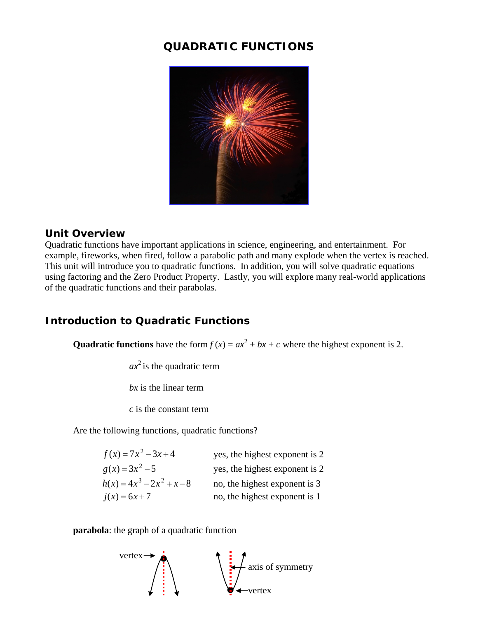# **QUADRATIC FUNCTIONS**



### **Unit Overview**

Quadratic functions have important applications in science, engineering, and entertainment. For example, fireworks, when fired, follow a parabolic path and many explode when the vertex is reached. This unit will introduce you to quadratic functions. In addition, you will solve quadratic equations using factoring and the Zero Product Property. Lastly, you will explore many real-world applications of the quadratic functions and their parabolas.

# **Introduction to Quadratic Functions**

**Quadratic functions** have the form  $f(x) = ax^2 + bx + c$  where the highest exponent is 2.

*ax* <sup>2</sup> is the quadratic term

*bx* is the linear term

*c* is the constant term

Are the following functions, quadratic functions?

| $f(x) = 7x^2 - 3x + 4$       | yes, the highest exponent is 2 |
|------------------------------|--------------------------------|
| $g(x) = 3x^2 - 5$            | yes, the highest exponent is 2 |
| $h(x) = 4x^3 - 2x^2 + x - 8$ | no, the highest exponent is 3  |
| $i(x) = 6x + 7$              | no, the highest exponent is 1  |

**parabola**: the graph of a quadratic function

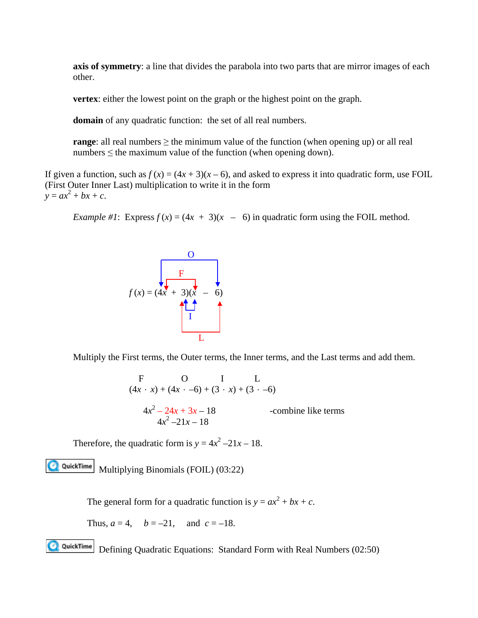**axis of symmetry**: a line that divides the parabola into two parts that are mirror images of each other.

**vertex**: either the lowest point on the graph or the highest point on the graph.

**domain** of any quadratic function: the set of all real numbers.

**range**: all real numbers  $\geq$  the minimum value of the function (when opening up) or all real numbers  $\leq$  the maximum value of the function (when opening down).

If given a function, such as  $f(x) = (4x + 3)(x - 6)$ , and asked to express it into quadratic form, use FOIL (First Outer Inner Last) multiplication to write it in the form  $y = ax^2 + bx + c$ .

*Example #1*: Express  $f(x) = (4x + 3)(x - 6)$  in quadratic form using the FOIL method.



Multiply the First terms, the Outer terms, the Inner terms, and the Last terms and add them.

F  
\n
$$
(4x \cdot x) + (4x \cdot -6) + (3 \cdot x) + (3 \cdot -6)
$$
  
\n $4x^2 - 24x + 3x - 18$  -combine like terms  
\n $4x^2 - 21x - 18$ 

Therefore, the quadratic form is  $y = 4x^2 - 21x - 18$ .

**QQuickTime** Multiplying Binomials (FOIL) (03:22)

The general form for a quadratic function is  $y = ax^2 + bx + c$ .

Thus, 
$$
a = 4
$$
,  $b = -21$ , and  $c = -18$ .

**QuickTime**Defining Quadratic Equations: Standard Form with Real Numbers (02:50)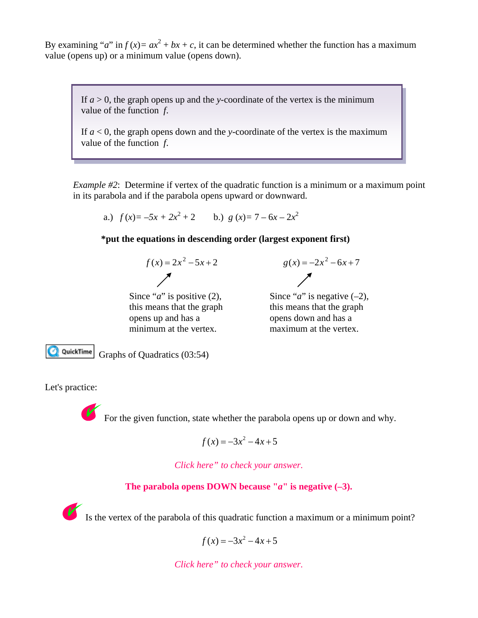By examining "*a*" in  $f(x) = ax^2 + bx + c$ , it can be determined whether the function has a maximum value (opens up) or a minimum value (opens down).

If  $a > 0$ , the graph opens up and the *y*-coordinate of the vertex is the minimum value of the function *f*.

If *a* < 0, the graph opens down and the *y*-coordinate of the vertex is the maximum value of the function *f*.

*Example #2*: Determine if vertex of the quadratic function is a minimum or a maximum point in its parabola and if the parabola opens upward or downward.

a.) 
$$
f(x) = -5x + 2x^2 + 2
$$
 b.)  $g(x) = 7 - 6x - 2x^2$ 

#### **\*put the equations in descending order (largest exponent first)**



$$
g(x) = -2x^2 - 6x + 7
$$

this means that the graph this means that the graph opens up and has a opens down and has a minimum at the vertex. maximum at the vertex.

Since "*a*" is positive (2), Since "*a*" is negative  $(-2)$ ,

QuickTime

Graphs of Quadratics (03:54)

Let's practice:



For the given function, state whether the parabola opens up or down and why.

$$
f(x) = -3x^2 - 4x + 5
$$

*Click here" to check your answer.*

#### **The parabola opens DOWN because "***a***" is negative (–3).**

Is the vertex of the parabola of this quadratic function a maximum or a minimum point?

$$
f(x) = -3x^2 - 4x + 5
$$

*Click here" to check your answer.*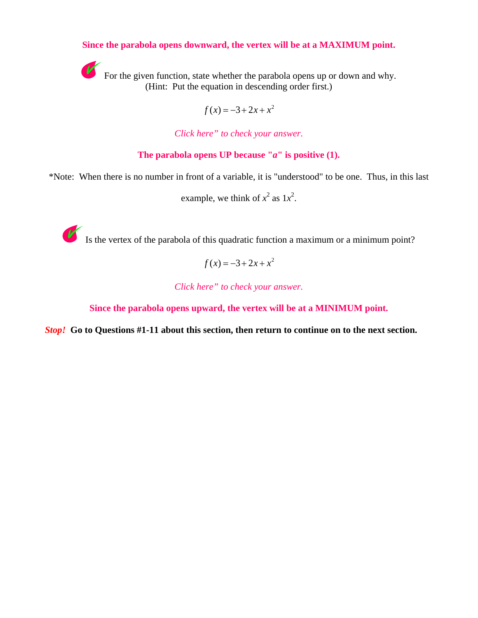#### **Since the parabola opens downward, the vertex will be at a MAXIMUM point.**



For the given function, state whether the parabola opens up or down and why. (Hint: Put the equation in descending order first.)

$$
f(x) = -3 + 2x + x^2
$$

*Click here" to check your answer.*

**The parabola opens UP because "***a***" is positive (1).**

\*Note: When there is no number in front of a variable, it is "understood" to be one. Thus, in this last

example, we think of  $x^2$  as  $1x^2$ .



Is the vertex of the parabola of this quadratic function a maximum or a minimum point?

$$
f(x) = -3 + 2x + x^2
$$

*Click here" to check your answer.*

**Since the parabola opens upward, the vertex will be at a MINIMUM point.**

*Stop!* **Go to Questions #1-11 about this section, then return to continue on to the next section.**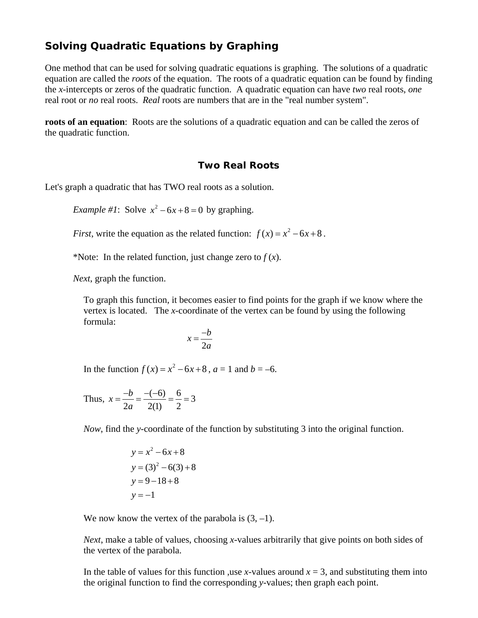## **Solving Quadratic Equations by Graphing**

One method that can be used for solving quadratic equations is graphing. The solutions of a quadratic equation are called the *roots* of the equation. The roots of a quadratic equation can be found by finding the *x*-intercepts or zeros of the quadratic function. A quadratic equation can have *two* real roots, *one* real root or *no* real roots. *Real* roots are numbers that are in the "real number system".

**roots of an equation**: Roots are the solutions of a quadratic equation and can be called the zeros of the quadratic function.

#### **Two Real Roots**

Let's graph a quadratic that has TWO real roots as a solution.

*Example* #1: Solve  $x^2 - 6x + 8 = 0$  by graphing.

*First*, write the equation as the related function:  $f(x) = x^2 - 6x + 8$ .

\*Note: In the related function, just change zero to  $f(x)$ .

*Next*, graph the function.

To graph this function, it becomes easier to find points for the graph if we know where the vertex is located. The *x*-coordinate of the vertex can be found by using the following formula:

$$
x = \frac{-b}{2a}
$$

In the function  $f(x) = x^2 - 6x + 8$ ,  $a = 1$  and  $b = -6$ .

Thus, 
$$
x = \frac{-b}{2a} = \frac{-(-6)}{2(1)} = \frac{6}{2} = 3
$$

*Now*, find the *y*-coordinate of the function by substituting 3 into the original function.

$$
y = x2 - 6x + 8
$$
  
y = (3)<sup>2</sup> - 6(3) + 8  
y = 9 - 18 + 8  
y = -1

We now know the vertex of the parabola is  $(3, -1)$ .

*Next*, make a table of values, choosing *x*-values arbitrarily that give points on both sides of the vertex of the parabola.

In the table of values for this function ,use *x*-values around  $x = 3$ , and substituting them into the original function to find the corresponding *y*-values; then graph each point.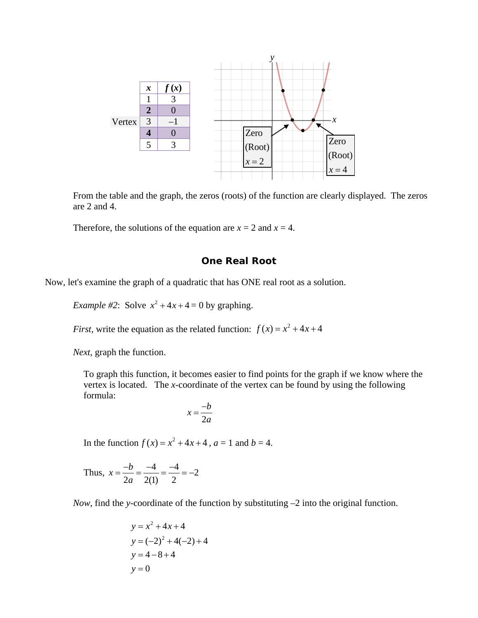

From the table and the graph, the zeros (roots) of the function are clearly displayed. The zeros are 2 and 4.

Therefore, the solutions of the equation are  $x = 2$  and  $x = 4$ .

#### **One Real Root**

Now, let's examine the graph of a quadratic that has ONE real root as a solution.

*Example* #2: Solve  $x^2 + 4x + 4 = 0$  by graphing.

*First*, write the equation as the related function:  $f(x) = x^2 + 4x + 4$ 

*Next*, graph the function.

To graph this function, it becomes easier to find points for the graph if we know where the vertex is located. The *x*-coordinate of the vertex can be found by using the following formula:

$$
x = \frac{-b}{2a}
$$

In the function  $f(x) = x^2 + 4x + 4$ ,  $a = 1$  and  $b = 4$ .

Thus, 
$$
x = \frac{-b}{2a} = \frac{-4}{2(1)} = \frac{-4}{2} = -2
$$

*Now*, find the *y*-coordinate of the function by substituting –2 into the original function.

$$
y = x2 + 4x + 4
$$
  
y = (-2)<sup>2</sup> + 4(-2) + 4  
y = 4-8+4  
y = 0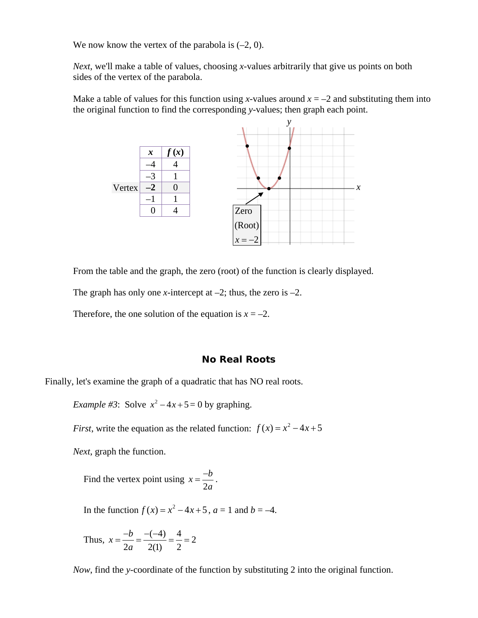We now know the vertex of the parabola is  $(-2, 0)$ .

*Next*, we'll make a table of values, choosing *x*-values arbitrarily that give us points on both sides of the vertex of the parabola.

Make a table of values for this function using *x*-values around  $x = -2$  and substituting them into the original function to find the corresponding *y*-values; then graph each point.



From the table and the graph, the zero (root) of the function is clearly displayed.

The graph has only one *x*-intercept at  $-2$ ; thus, the zero is  $-2$ .

Therefore, the one solution of the equation is  $x = -2$ .

#### **No Real Roots**

Finally, let's examine the graph of a quadratic that has NO real roots.

*Example #3*: Solve  $x^2 - 4x + 5 = 0$  by graphing.

*First*, write the equation as the related function:  $f(x) = x^2 - 4x + 5$ 

*Next*, graph the function.

Find the vertex point using  $x = \frac{-b}{2a}$ *a*  $=\frac{-b}{2}$ .

In the function  $f(x) = x^2 - 4x + 5$ ,  $a = 1$  and  $b = -4$ .

Thus, 
$$
x = \frac{-b}{2a} = \frac{-(-4)}{2(1)} = \frac{4}{2} = 2
$$

*Now*, find the *y*-coordinate of the function by substituting 2 into the original function.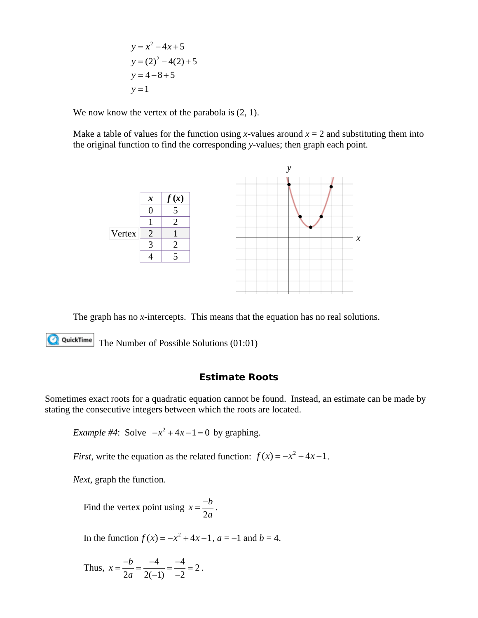$$
y = x2 - 4x + 5
$$
  
y = (2)<sup>2</sup> - 4(2) + 5  
y = 4 - 8 + 5  
y = 1

We now know the vertex of the parabola is  $(2, 1)$ .

Make a table of values for the function using *x*-values around  $x = 2$  and substituting them into the original function to find the corresponding *y*-values; then graph each point.



The graph has no *x*-intercepts. This means that the equation has no real solutions.

**QQuickTime** The Number of Possible Solutions (01:01)

#### **Estimate Roots**

Sometimes exact roots for a quadratic equation cannot be found. Instead, an estimate can be made by stating the consecutive integers between which the roots are located.

*Example #4*: Solve  $-x^2 + 4x - 1 = 0$  by graphing.

*First*, write the equation as the related function:  $f(x) = -x^2 + 4x - 1$ .

*Next*, graph the function.

Find the vertex point using 
$$
x = \frac{-b}{2a}
$$
.

In the function  $f(x) = -x^2 + 4x - 1$ ,  $a = -1$  and  $b = 4$ .

Thus, 
$$
x = \frac{-b}{2a} = \frac{-4}{2(-1)} = \frac{-4}{-2} = 2
$$
.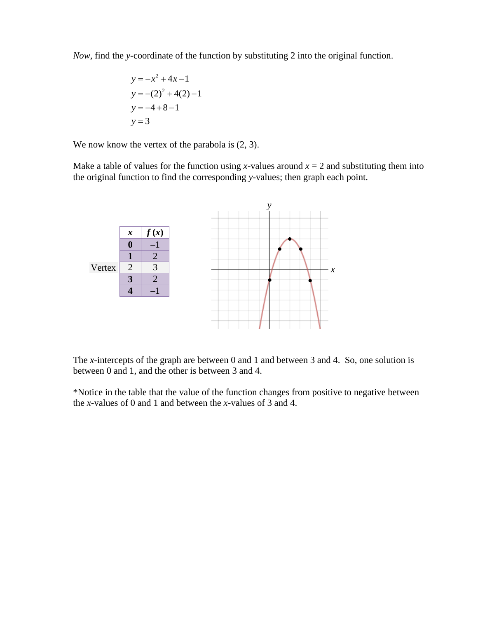*Now*, find the *y*-coordinate of the function by substituting 2 into the original function.

$$
y = -x2 + 4x - 1
$$
  
\n
$$
y = -(2)2 + 4(2) - 1
$$
  
\n
$$
y = -4 + 8 - 1
$$
  
\n
$$
y = 3
$$

We now know the vertex of the parabola is  $(2, 3)$ .

Make a table of values for the function using *x*-values around  $x = 2$  and substituting them into the original function to find the corresponding *y*-values; then graph each point.



The *x*-intercepts of the graph are between 0 and 1 and between 3 and 4. So, one solution is between 0 and 1, and the other is between 3 and 4.

\*Notice in the table that the value of the function changes from positive to negative between the *x*-values of 0 and 1 and between the *x*-values of 3 and 4.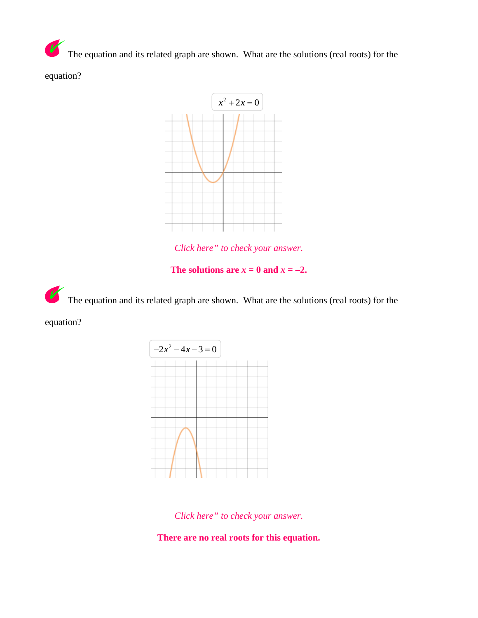$\overline{\nu}$ The equation and its related graph are shown. What are the solutions (real roots) for the equation?



*Click here" to check your answer.*

The solutions are  $x = 0$  and  $x = -2$ .

V The equation and its related graph are shown. What are the solutions (real roots) for the

equation?



*Click here" to check your answer.*

**There are no real roots for this equation.**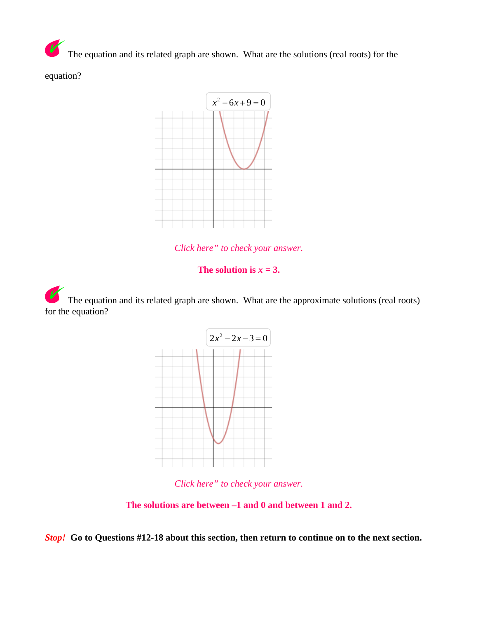$\overline{\mathbf{V}}$ The equation and its related graph are shown. What are the solutions (real roots) for the

equation?



*Click here" to check your answer.*

#### The solution is  $x = 3$ .

The equation and its related graph are shown. What are the approximate solutions (real roots) for the equation?



*Click here" to check your answer.*

**The solutions are between –1 and 0 and between 1 and 2.**

*Stop!* **Go to Questions #12-18 about this section, then return to continue on to the next section.**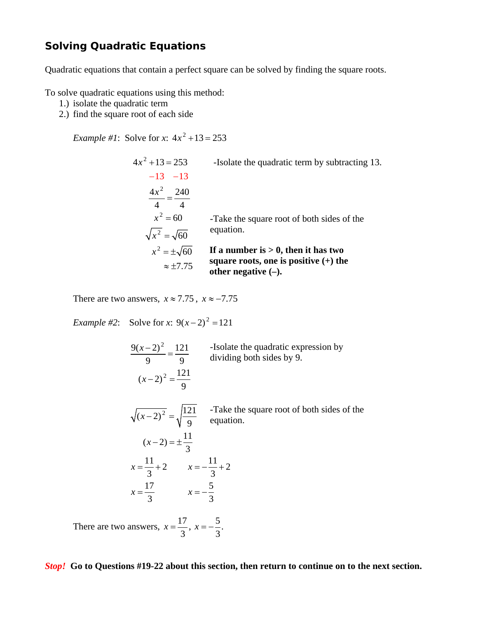### **Solving Quadratic Equations**

Quadratic equations that contain a perfect square can be solved by finding the square roots.

To solve quadratic equations using this method:

- 1.) isolate the quadratic term
- 2.) find the square root of each side

*Example #1*: Solve for *x*:  $4x^2 + 13 = 253$ 

 $4x^2 + 13 = 253$  $\frac{4x^2}{4} = \frac{240}{4}$  $-13 - 13$ -Isolate the quadratic term by subtracting 13.  $x^2 = 60$  $\sqrt{x^2} = \sqrt{60}$  $x^2 = \pm \sqrt{60}$  $\approx \pm 7.75$ **If a number is > 0, then it has two square roots, one is positive (+) the other negative (–).** -Take the square root of both sides of the equation.

There are two answers,  $x \approx 7.75$ ,  $x \approx -7.75$ 

*Example #2*: Solve for *x*:  $9(x-2)^2 = 121$ 

 $9(x-2)^2$  121  $(x-2)^2 = \frac{121}{9}$ 9 9  $\frac{(x-2)^2}{2} = \frac{121}{2}$  -Isolate the quadratic expression by  $\sqrt{(x-2)^2} = \sqrt{\frac{121}{9}}$  -Take the square root of both sides of the equation.  $(x-2) = \pm \frac{11}{3}$  $\frac{11}{2} + 2$   $x = -\frac{11}{2} + 2$ 3 3 17 5 3 3  $x = \frac{11}{2} + 2$   $x = -\frac{11}{2} + \frac{1}{2}$  $x = \frac{17}{2}$   $x = -$ There are two answers,  $x = \frac{17}{3}$ ,  $x = -\frac{5}{3}$ . equation. dividing both sides by 9.

*Stop!* **Go to Questions #19-22 about this section, then return to continue on to the next section.**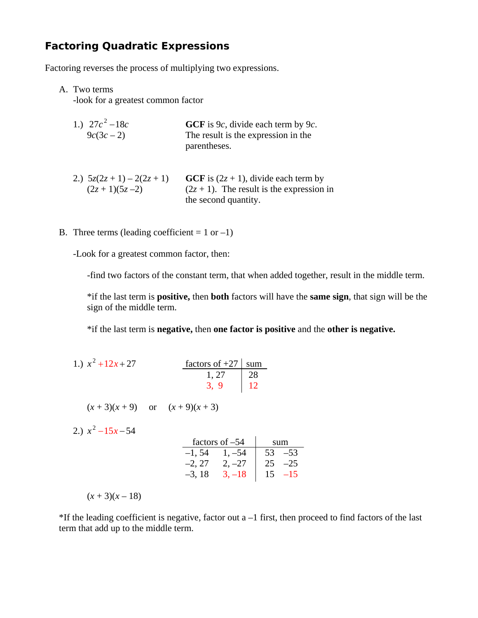## **Factoring Quadratic Expressions**

Factoring reverses the process of multiplying two expressions.

#### A. Two terms

-look for a greatest common factor

| 1.) $27c^2 - 18c$ | GCF is $9c$ , divide each term by $9c$ . |
|-------------------|------------------------------------------|
| $9c(3c-2)$        | The result is the expression in the      |
|                   | parentheses.                             |

- 2.)  $5z(2z + 1) 2(2z + 1)$  **GCF** is  $(2z + 1)$ , divide each term by  $(2z + 1)(5z - 2)$  (2*z* + 1). The result is the expression in the second quantity.
- B. Three terms (leading coefficient  $= 1$  or  $-1$ )

-Look for a greatest common factor, then:

-find two factors of the constant term, that when added together, result in the middle term.

\*if the last term is **positive,** then **both** factors will have the **same sign**, that sign will be the sign of the middle term.

\*if the last term is **negative,** then **one factor is positive** and the **other is negative.**

| 1.) $x^2 + 12x + 27$ | factors of $+27$ sum |  |
|----------------------|----------------------|--|
|                      | $1, 27$   28         |  |
|                      | $3, 9$   12          |  |

 $(x+3)(x+9)$  or  $(x+9)(x+3)$ 

2.)  $x^2 - 15x - 54$ 

| factors of $-54$ |          |    |       |
|------------------|----------|----|-------|
| $-1, 54$         | $1, -54$ | 53 | $-53$ |
| $-2, 27$         | $2, -27$ | 25 | $-25$ |
| $-3, 18$         | $3. -18$ | 15 | -15   |

 $(x+3)(x-18)$ 

 $*$ If the leading coefficient is negative, factor out a  $-1$  first, then proceed to find factors of the last term that add up to the middle term.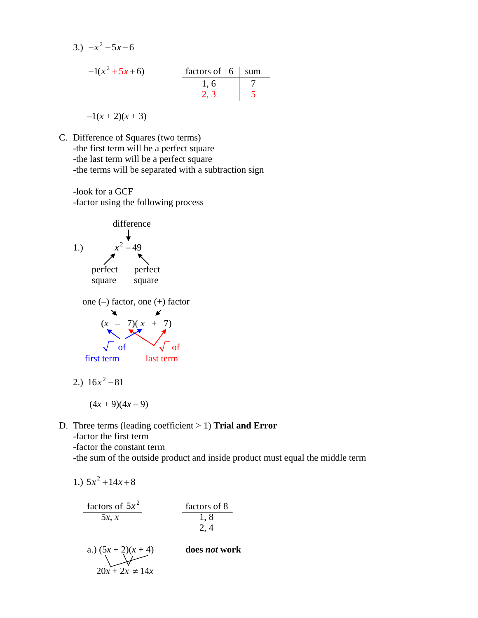3.)  $-x^2-5x-6$  $-1(x^2 + 5x + 6)$  factors of +6 sum<br>1, 6 7<br>2, 3 5 1, 6 7 2, 3 5

 $-1(x+2)(x+3)$ 

- C. Difference of Squares (two terms) -the first term will be a perfect square -the last term will be a perfect square -the terms will be separated with a subtraction sign
	- -look for a GCF -factor using the following process



2.) 
$$
16x^2 - 81
$$

$$
(4x+9)(4x-9)
$$

D. Three terms (leading coefficient > 1) **Trial and Error** -factor the first term

-factor the constant term

-the sum of the outside product and inside product must equal the middle term

1.) 
$$
5x^2 + 14x + 8
$$
  
\n
$$
\frac{\text{factors of } 5x^2}{5x, x} \qquad \frac{\text{factors of } 8}{1, 8}
$$
\n2. 4  
\na.)  $(5x + 2)(x + 4)$  does *not* work  
\n
$$
20x + 2x \neq 14x
$$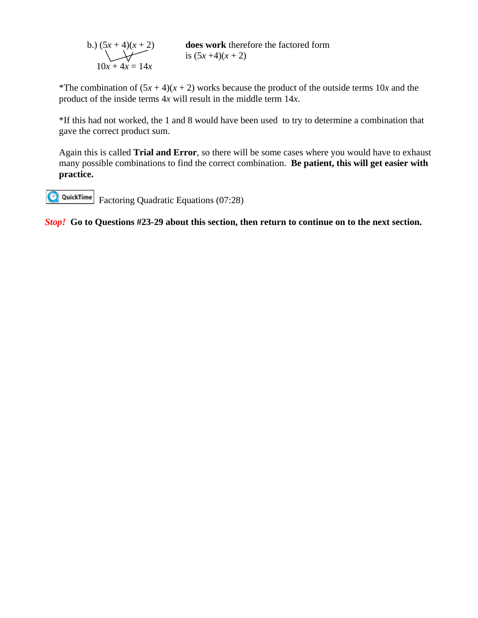b.) 
$$
(5x + 4)(x + 2)
$$
  
does work therefore the factored form  
is  $(5x + 4)(x + 2)$   
 $10x + 4x = 14x$ 

\*The combination of  $(5x + 4)(x + 2)$  works because the product of the outside terms 10*x* and the product of the inside terms 4*x* will result in the middle term 14*x*.

\*If this had not worked, the 1 and 8 would have been used to try to determine a combination that gave the correct product sum.

Again this is called **Trial and Error**, so there will be some cases where you would have to exhaust many possible combinations to find the correct combination. **Be patient, this will get easier with practice.**

**Q**QuickTime Factoring Quadratic Equations (07:28)

*Stop!* **Go to Questions #23-29 about this section, then return to continue on to the next section.**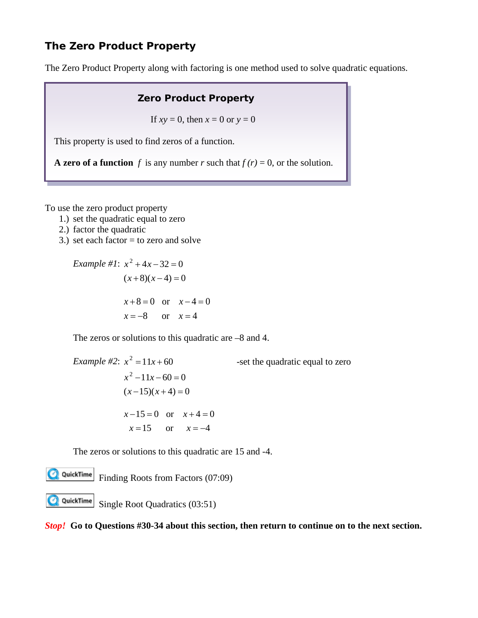## **The Zero Product Property**

The Zero Product Property along with factoring is one method used to solve quadratic equations.

### **Zero Product Property**

If  $xy = 0$ , then  $x = 0$  or  $y = 0$ 

This property is used to find zeros of a function.

**A zero of a function**  $f$  is any number  $r$  such that  $f(r) = 0$ , or the solution.

To use the zero product property

- 1.) set the quadratic equal to zero
- 2.) factor the quadratic
- 3.) set each factor  $=$  to zero and solve

Example #1: 
$$
x^2 + 4x - 32 = 0
$$
  
\n $(x+8)(x-4) = 0$   
\n $x+8=0$  or  $x-4=0$   
\n $x=-8$  or  $x=4$ 

The zeros or solutions to this quadratic are –8 and 4.

*Example* #2:  $x^2 = 11x +$  $x^2 - 11x - 60 = 0$ -set the quadratic equal to zero  $(x-15)(x+4) = 0$  $x-15 = 0$  or  $x+4=0$  $x = 15$  or  $x = -4$ 

The zeros or solutions to this quadratic are 15 and -4.

Finding Roots from Factors (07:09)

QuickTimeSingle Root Quadratics (03:51)

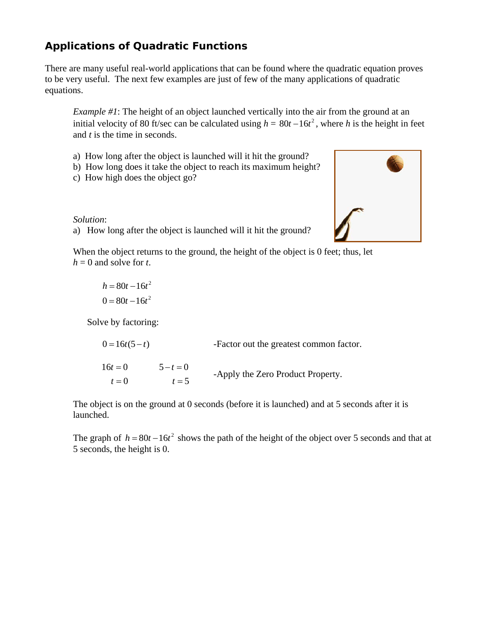# **Applications of Quadratic Functions**

There are many useful real-world applications that can be found where the quadratic equation proves to be very useful. The next few examples are just of few of the many applications of quadratic equations.

*Example #1*: The height of an object launched vertically into the air from the ground at an initial velocity of 80 ft/sec can be calculated using  $h = 80t - 16t^2$ , where *h* is the height in feet and *t* is the time in seconds.

- a) How long after the object is launched will it hit the ground?
- b) How long does it take the object to reach its maximum height?
- c) How high does the object go?

*Solution*:

a) How long after the object is launched will it hit the ground?

When the object returns to the ground, the height of the object is 0 feet; thus, let  $h = 0$  and solve for *t*.

 $h = 80t - 16t^2$  $0 = 80t - 16t^2$ 

Solve by factoring:

 $0 = 16t(5 - t)$  Factor out the greatest common factor.

 $16t = 0$   $5 - t = 0$  $t = 5$  $t = 0$  $5 - t = 0$ -Apply the Zero Product Property.

The object is on the ground at 0 seconds (before it is launched) and at 5 seconds after it is launched.

The graph of  $h = 80t - 16t^2$  shows the path of the height of the object over 5 seconds and that at 5 seconds, the height is 0.

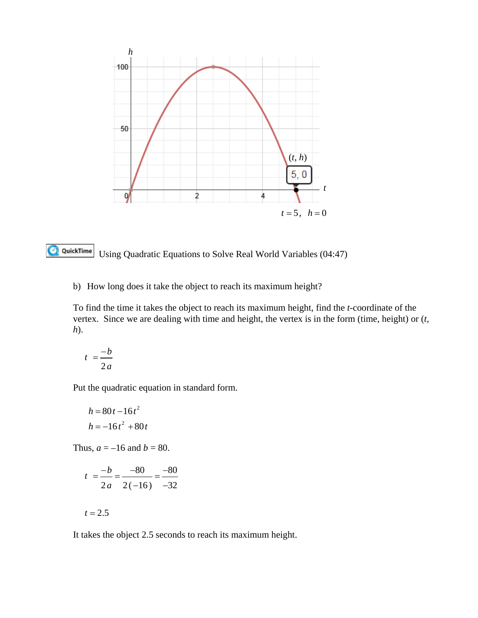

Q QuickTime Using Quadratic Equations to Solve Real World Variables (04:47)

b) How long does it take the object to reach its maximum height?

To find the time it takes the object to reach its maximum height, find the *t*-coordinate of the vertex. Since we are dealing with time and height, the vertex is in the form (time, height) or (*t, h*).

$$
t = \frac{-b}{2a}
$$

Put the quadratic equation in standard form.

$$
h = 80t - 16t2
$$

$$
h = -16t2 + 80t
$$

Thus,  $a = -16$  and  $b = 80$ .

$$
t = \frac{-b}{2a} = \frac{-80}{2(-16)} = \frac{-80}{-32}
$$

$$
t=2.5
$$

It takes the object 2.5 seconds to reach its maximum height.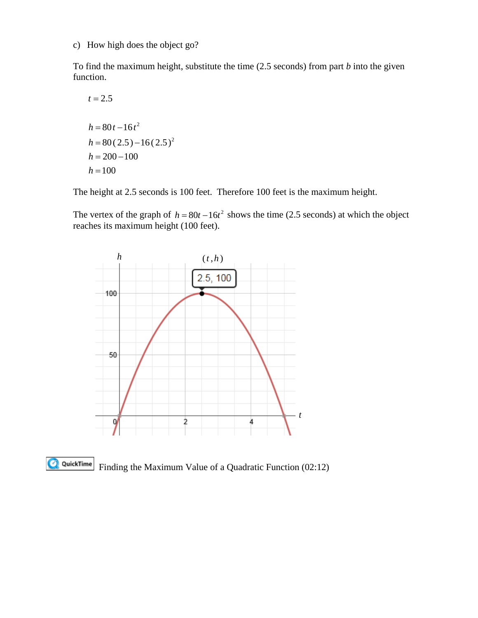c) How high does the object go?

To find the maximum height, substitute the time (2.5 seconds) from part *b* into the given function.

$$
t = 2.5
$$
  
\n
$$
h = 80t - 16t^2
$$
  
\n
$$
h = 80(2.5) - 16(2.5)^2
$$
  
\n
$$
h = 200 - 100
$$
  
\n
$$
h = 100
$$

The height at 2.5 seconds is 100 feet. Therefore 100 feet is the maximum height.

The vertex of the graph of  $h = 80t - 16t^2$  shows the time (2.5 seconds) at which the object reaches its maximum height (100 feet).





Finding the Maximum Value of a Quadratic Function (02:12)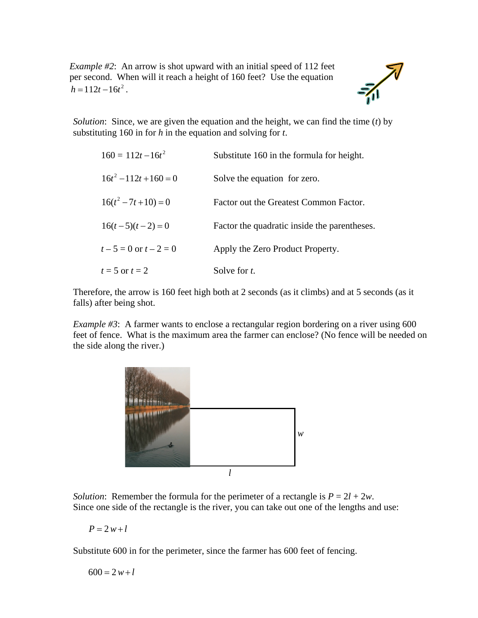*Example #2*: An arrow is shot upward with an initial speed of 112 feet per second. When will it reach a height of 160 feet? Use the equation  $h = 112t - 16t^2$ .

*Solution*: Since, we are given the equation and the height, we can find the time (*t*) by substituting 160 in for *h* in the equation and solving for *t*.

| $160 = 112t - 16t^2$     | Substitute 160 in the formula for height.    |
|--------------------------|----------------------------------------------|
| $16t^2 - 112t + 160 = 0$ | Solve the equation for zero.                 |
| $16(t^2 - 7t + 10) = 0$  | Factor out the Greatest Common Factor.       |
| $16(t-5)(t-2) = 0$       | Factor the quadratic inside the parentheses. |
| $t-5=0$ or $t-2=0$       | Apply the Zero Product Property.             |
| $t=5$ or $t=2$           | Solve for t.                                 |

Therefore, the arrow is 160 feet high both at 2 seconds (as it climbs) and at 5 seconds (as it falls) after being shot.

*Example #3*: A farmer wants to enclose a rectangular region bordering on a river using 600 feet of fence. What is the maximum area the farmer can enclose? (No fence will be needed on the side along the river.)



*Solution*: Remember the formula for the perimeter of a rectangle is  $P = 2l + 2w$ . Since one side of the rectangle is the river, you can take out one of the lengths and use:

 $P = 2w + l$ 

Substitute 600 in for the perimeter, since the farmer has 600 feet of fencing.

$$
600 = 2 w + l
$$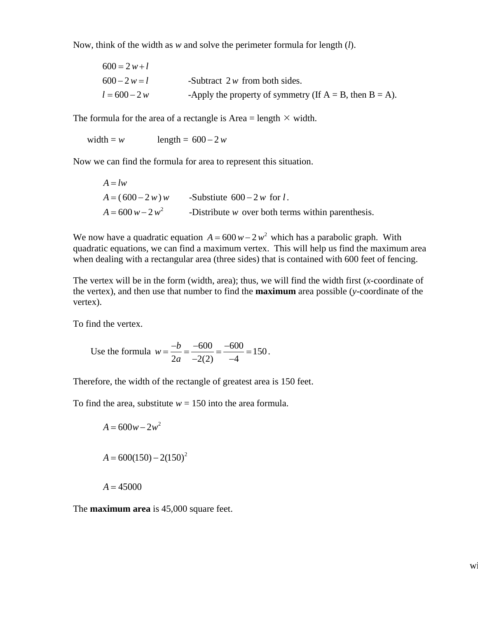Now, think of the width as *w* and solve the perimeter formula for length (*l*).

| $600 = 2w+l$    |                                                               |
|-----------------|---------------------------------------------------------------|
| $600 - 2 w = l$ | -Subtract $2w$ from both sides.                               |
| $l = 600 - 2 w$ | -Apply the property of symmetry (If $A = B$ , then $B = A$ ). |

The formula for the area of a rectangle is Area = length  $\times$  width.

width =  $w$  length =  $600 - 2w$ 

Now we can find the formula for area to represent this situation.

$$
A = lw
$$
  
\n
$$
A = (600 - 2 w) w
$$
 -Substitute 600 - 2 w for *l*.  
\n
$$
A = 600 w - 2 w2
$$
 -Distribute w over both terms within parenthesis.

We now have a quadratic equation  $A = 600 w - 2 w^2$  which has a parabolic graph. With quadratic equations, we can find a maximum vertex. This will help us find the maximum area when dealing with a rectangular area (three sides) that is contained with 600 feet of fencing.

The vertex will be in the form (width, area); thus, we will find the width first (*x*-coordinate of the vertex), and then use that number to find the **maximum** area possible (*y*-coordinate of the vertex).

To find the vertex.

Use the formula 
$$
w = \frac{-b}{2a} = \frac{-600}{-2(2)} = \frac{-600}{-4} = 150
$$
.

Therefore, the width of the rectangle of greatest area is 150 feet.

To find the area, substitute  $w = 150$  into the area formula.

$$
A = 600w - 2w^{2}
$$
  

$$
A = 600(150) - 2(150)^{2}
$$
  

$$
A = 45000
$$

The **maximum area** is 45,000 square feet.